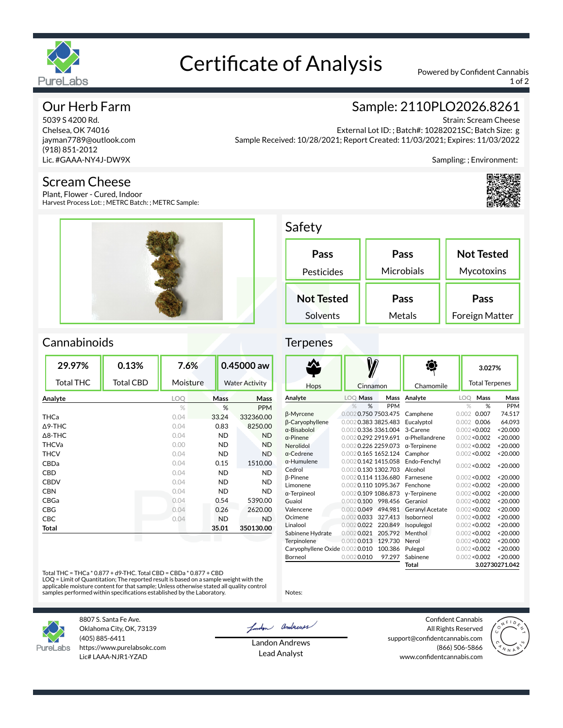

# Certificate of Analysis Powered by Confident Cannabis

1 of 2

# Our Herb Farm

5039 S 4200 Rd. Chelsea, OK 74016 jayman7789@outlook.com (918) 851-2012 Lic. #GAAA-NY4J-DW9X

### Scream Cheese

Plant, Flower - Cured, Indoor Harvest Process Lot: ; METRC Batch: ; METRC Sample:



# Sample: 2110PLO2026.8261

Strain: Scream Cheese External Lot ID: ; Batch#: 10282021SC; Batch Size: g Sample Received: 10/28/2021; Report Created: 11/03/2021; Expires: 11/03/2022

Sampling: ; Environment:



# Safety

| Pass<br>Pesticides | Pass<br>Microbials | <b>Not Tested</b><br>Mycotoxins |  |
|--------------------|--------------------|---------------------------------|--|
| <b>Not Tested</b>  | Pass               | Pass                            |  |
| Solvents           | Metals             | Foreign Matter                  |  |

# Cannabinoids

| 29.97%            | 0.13%            | 7.6%     |  | 0.45000 aw            |            |
|-------------------|------------------|----------|--|-----------------------|------------|
| <b>Total THC</b>  | <b>Total CBD</b> | Moisture |  | <b>Water Activity</b> |            |
| Analyte           |                  | LOQ      |  | Mass<br>Mass          |            |
|                   |                  | $\%$     |  | %                     | <b>PPM</b> |
| THCa              |                  | 0.04     |  | 33.24                 | 332360.00  |
| $\triangle$ 9-THC |                  | 0.04     |  | 0.83                  | 8250.00    |
| $\Delta$ 8-THC    |                  | 0.04     |  | ND.                   | <b>ND</b>  |
| <b>THCVa</b>      |                  | 0.00     |  | <b>ND</b>             | <b>ND</b>  |
| <b>THCV</b>       |                  | 0.04     |  | <b>ND</b>             | <b>ND</b>  |
| CBDa              |                  | 0.04     |  | 0.15                  | 1510.00    |
| CBD               |                  | 0.04     |  | <b>ND</b>             | <b>ND</b>  |
| <b>CBDV</b>       |                  | 0.04     |  | ND.                   | <b>ND</b>  |
| <b>CBN</b>        |                  | 0.04     |  | ND.                   | <b>ND</b>  |
| CBGa              |                  | 0.04     |  | 0.54                  | 5390.00    |
| CBG               |                  | 0.04     |  | 0.26                  | 2620.00    |
| CBC               |                  | 0.04     |  | <b>ND</b>             | <b>ND</b>  |
| Total             |                  |          |  | 35.01                 | 350130.00  |
|                   |                  |          |  |                       |            |

#### **Terpenes**

|                                |                     |         |                        |       | 3.027%                |                |
|--------------------------------|---------------------|---------|------------------------|-------|-----------------------|----------------|
| Hops                           | Cinnamon            |         | Chamomile              |       | <b>Total Terpenes</b> |                |
| Analyte                        | <b>LOO Mass</b>     | Mass    | Analyte                | LOO   | Mass                  | Mass           |
|                                | %<br>$\%$           | PPM     |                        |       | %<br>$\%$             | PPM            |
| β-Myrcene                      | 0.0020.7507503.475  |         | Camphene               | 0.002 | 0.007                 | 74.517         |
| <b>ß-Caryophyllene</b>         | 0.0020.3833825.483  |         | Eucalvptol             |       | 0.002 0.006           | 64.093         |
| $\alpha$ -Bisabolol            | 0.0020.3363361.004  |         | 3-Carene               |       | 0.002 < 0.002         | < 20.000       |
| $\alpha$ -Pinene               | 0.0020.292 2919.691 |         | $\alpha$ -Phellandrene |       | 0.002 < 0.002         | < 20.000       |
| Nerolidol                      | 0.0020.226 2259.073 |         | $\alpha$ -Terpinene    |       | 0.002 < 0.002         | < 20.000       |
| $\alpha$ -Cedrene              | 0.0020.165 1652.124 |         | Camphor                |       | 0.002 < 0.002         | < 20.000       |
| $\alpha$ -Humulene             | 0.0020.142 1415.058 |         | Endo-Fenchyl           |       | 0.002 < 0.002         | < 20.000       |
| Cedrol                         | 0.0020.130 1302.703 |         | Alcohol                |       |                       |                |
| <b>ß-Pinene</b>                | 0.0020.114 1136.680 |         | Farnesene              |       | 0.002 < 0.002         | < 20.000       |
| Limonene                       | 0.0020.110 1095.367 |         | Fenchone               |       | 0.002 < 0.002         | < 20.000       |
| $\alpha$ -Terpineol            | 0.0020.109 1086.873 |         | y-Terpinene            |       | 0.002 < 0.002         | < 20.000       |
| Guaiol                         | $0.002$ 0.100       | 998.456 | Geraniol               |       | 0.002 < 0.002         | < 20.000       |
| Valencene                      | $0.002$ 0.049       | 494.981 | <b>Geranvl Acetate</b> |       | 0.002 < 0.002         | < 20.000       |
| Ocimene                        | $0.002$ 0.033       | 327.413 | Isoborneol             |       | 0.002 < 0.002         | < 20.000       |
| Linalool                       | $0.002$ 0.022       | 220.849 | Isopulegol             |       | 0.002 < 0.002         | < 20.000       |
| Sabinene Hydrate               | $0.002$ 0.021       | 205.792 | Menthol                |       | 0.002 < 0.002         | < 20.000       |
| Terpinolene                    | $0.002$ 0.013       | 129.730 | Nerol                  |       | 0.002 < 0.002         | < 20.000       |
| Caryophyllene Oxide 0.0020.010 |                     | 100.386 | Pulegol                |       | 0.002 < 0.002         | < 20.000       |
| Borneol                        | $0.002$ 0.010       | 97.297  | Sabinene               |       | 0.002 < 0.002         | < 20.000       |
|                                |                     |         | Total                  |       |                       | 3.02730271.042 |

Total THC = THCa \* 0.877 + d9-THC. Total CBD = CBDa \* 0.877 + CBD

LOQ = Limit of Quantitation; The reported result is based on a sample weight with the<br>applicable moisture content for that sample; Unless otherwise stated all quality control<br>samples performed within specifications establi



8807 S. Santa Fe Ave. Oklahoma City, OK, 73139 (405) 885-6411 https://www.purelabsokc.com Lic# LAAA-NJR1-YZAD

London andrews

Notes:

Landon Andrews Lead Analyst

Confident Cannabis All Rights Reserved support@confidentcannabis.com (866) 506-5866 www.confidentcannabis.com